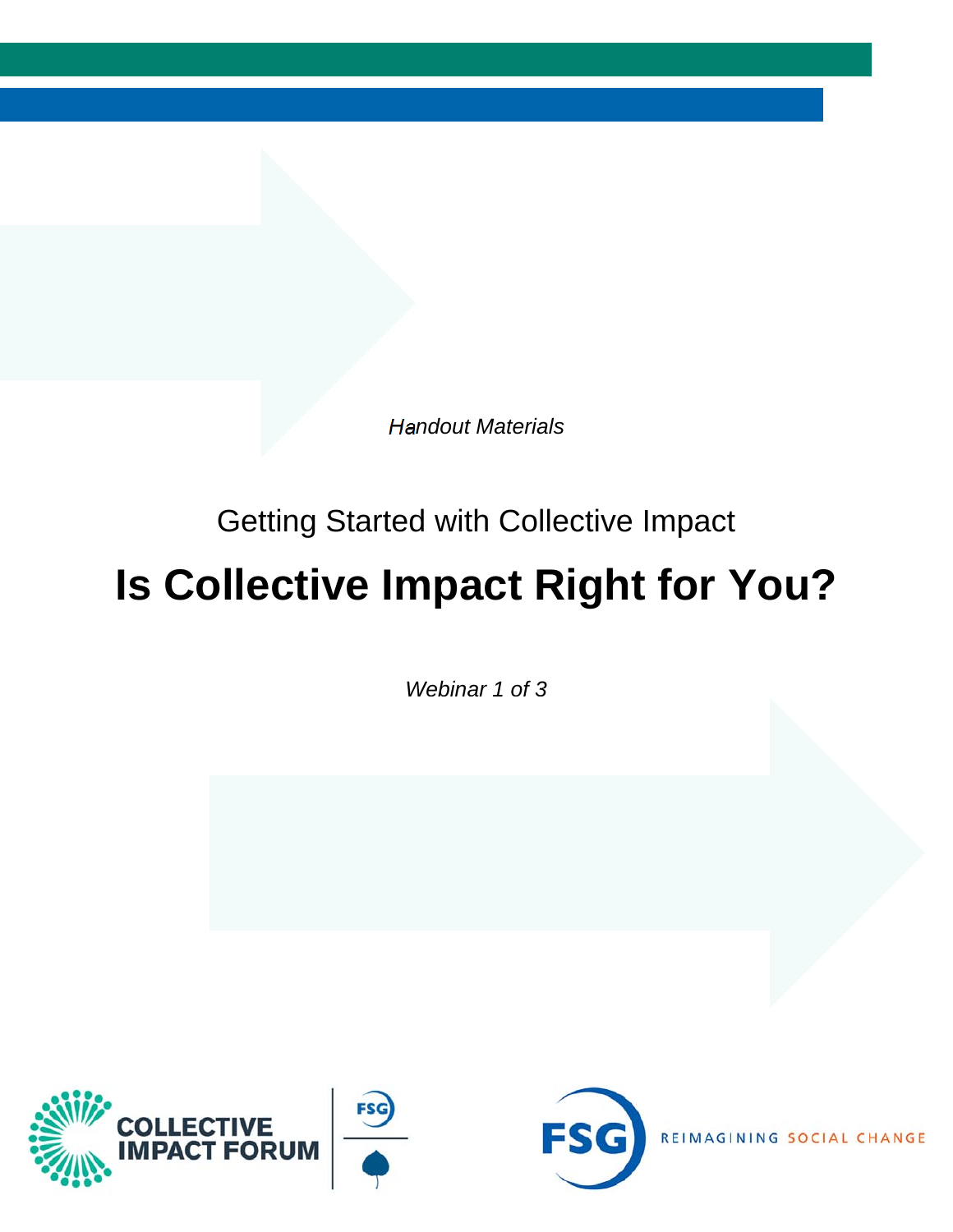*Handout Materials* 

### Getting Started with Collective Impact

### **Is Collective Impact Right for You?**

*Webinar 1 of 3*





REIMAGINING SOCIAL CHANGE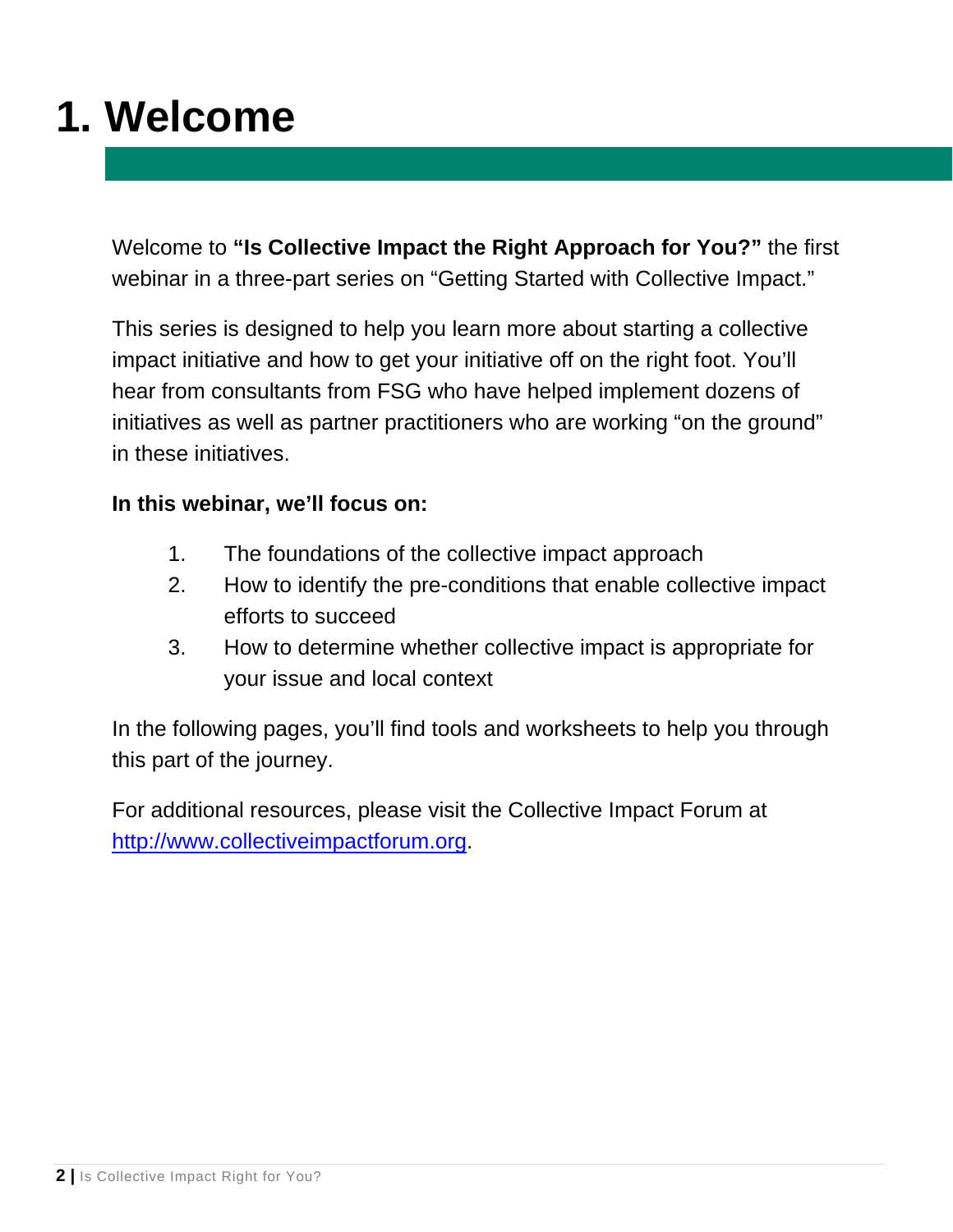### **1. Welcome**

Welcome to **"Is Collective Impact the Right Approach for You?"** the first webinar in a three-part series on "Getting Started with Collective Impact."

This series is designed to help you learn more about starting a collective impact initiative and how to get your initiative off on the right foot. You'll hear from consultants from FSG who have helped implement dozens of initiatives as well as partner practitioners who are working "on the ground" in these initiatives.

#### **In this webinar, we'll focus on:**

- 1. The foundations of the collective impact approach
- 2. How to identify the pre-conditions that enable collective impact efforts to succeed
- 3. How to determine whether collective impact is appropriate for your issue and local context

In the following pages, you'll find tools and worksheets to help you through this part of the journey.

For additional resources, please visit the Collective Impact Forum at http://www.collectiveimpactforum.org.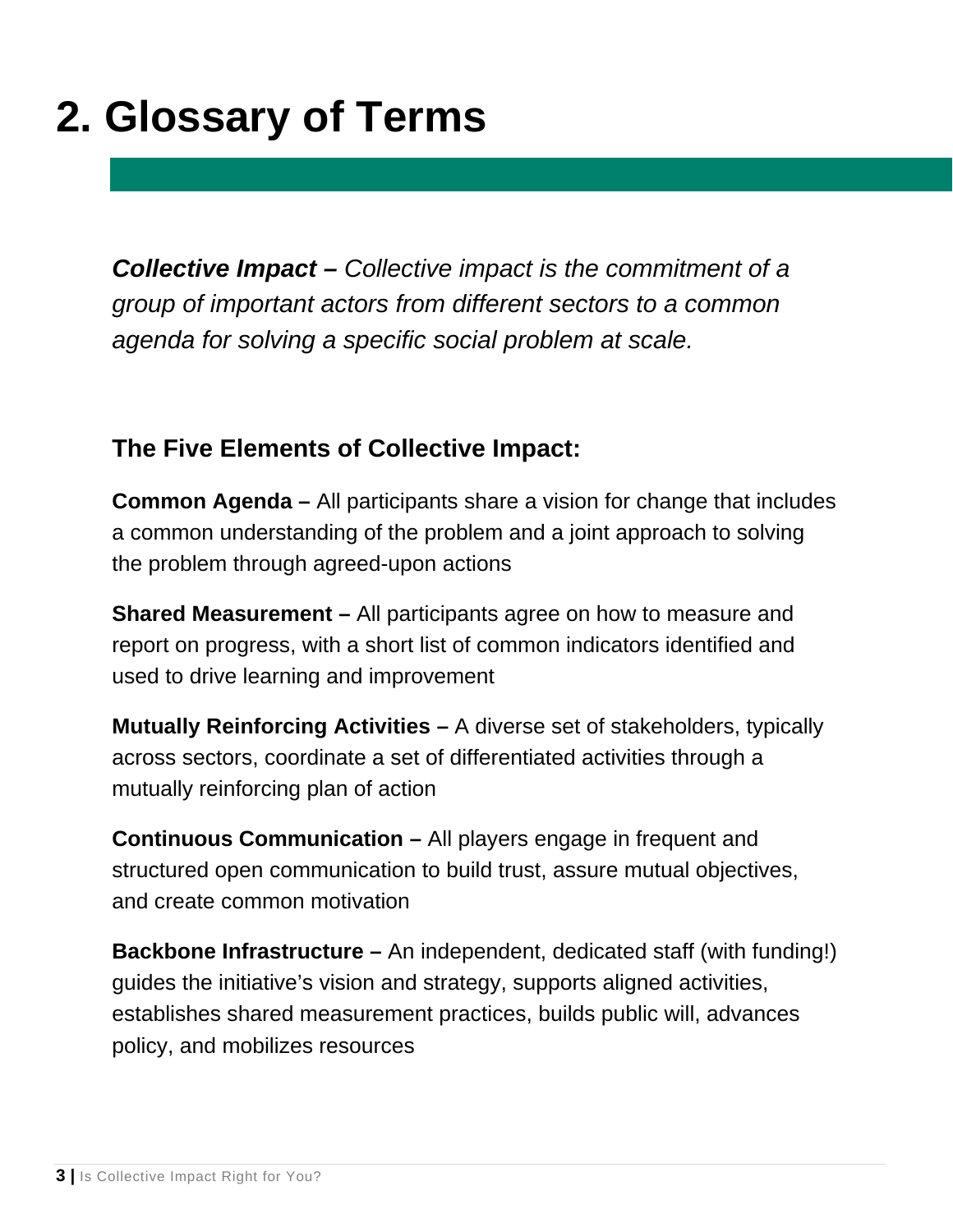### **2. Glossary of Terms**

*Collective Impact – Collective impact is the commitment of a group of important actors from different sectors to a common agenda for solving a specific social problem at scale.* 

### **The Five Elements of Collective Impact:**

**Common Agenda –** All participants share a vision for change that includes a common understanding of the problem and a joint approach to solving the problem through agreed-upon actions

**Shared Measurement –** All participants agree on how to measure and report on progress, with a short list of common indicators identified and used to drive learning and improvement

**Mutually Reinforcing Activities –** A diverse set of stakeholders, typically across sectors, coordinate a set of differentiated activities through a mutually reinforcing plan of action

**Continuous Communication –** All players engage in frequent and structured open communication to build trust, assure mutual objectives, and create common motivation

**Backbone Infrastructure –** An independent, dedicated staff (with funding!) guides the initiative's vision and strategy, supports aligned activities, establishes shared measurement practices, builds public will, advances policy, and mobilizes resources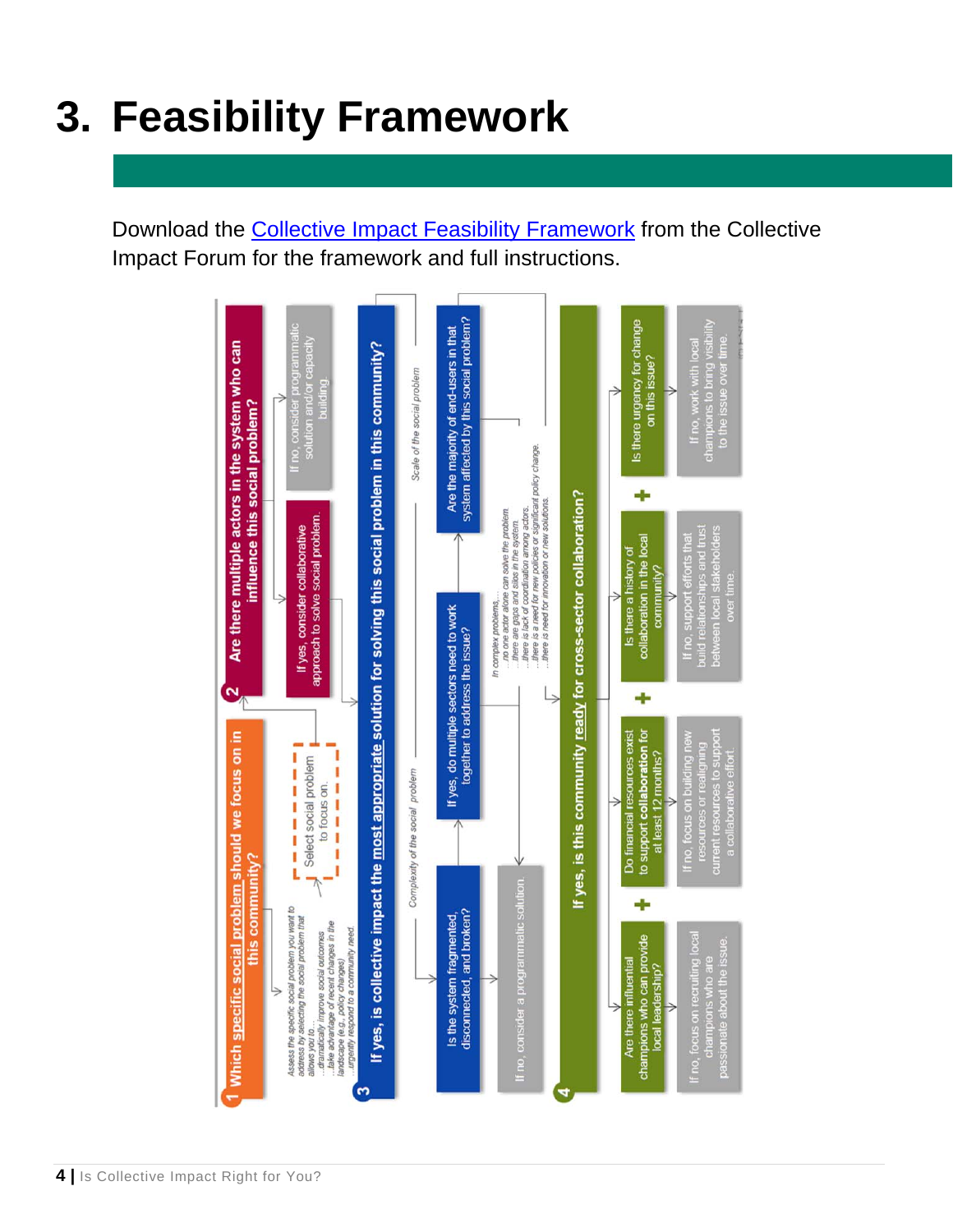### **3. Feasibility Framework**

Download the [Collective Impact Feasibility Framework](http://collectiveimpactforum.org/resources/collective-impact-feasibility-framework?destination=node/6751) from the Collective Impact Forum for the framework and full instructions.

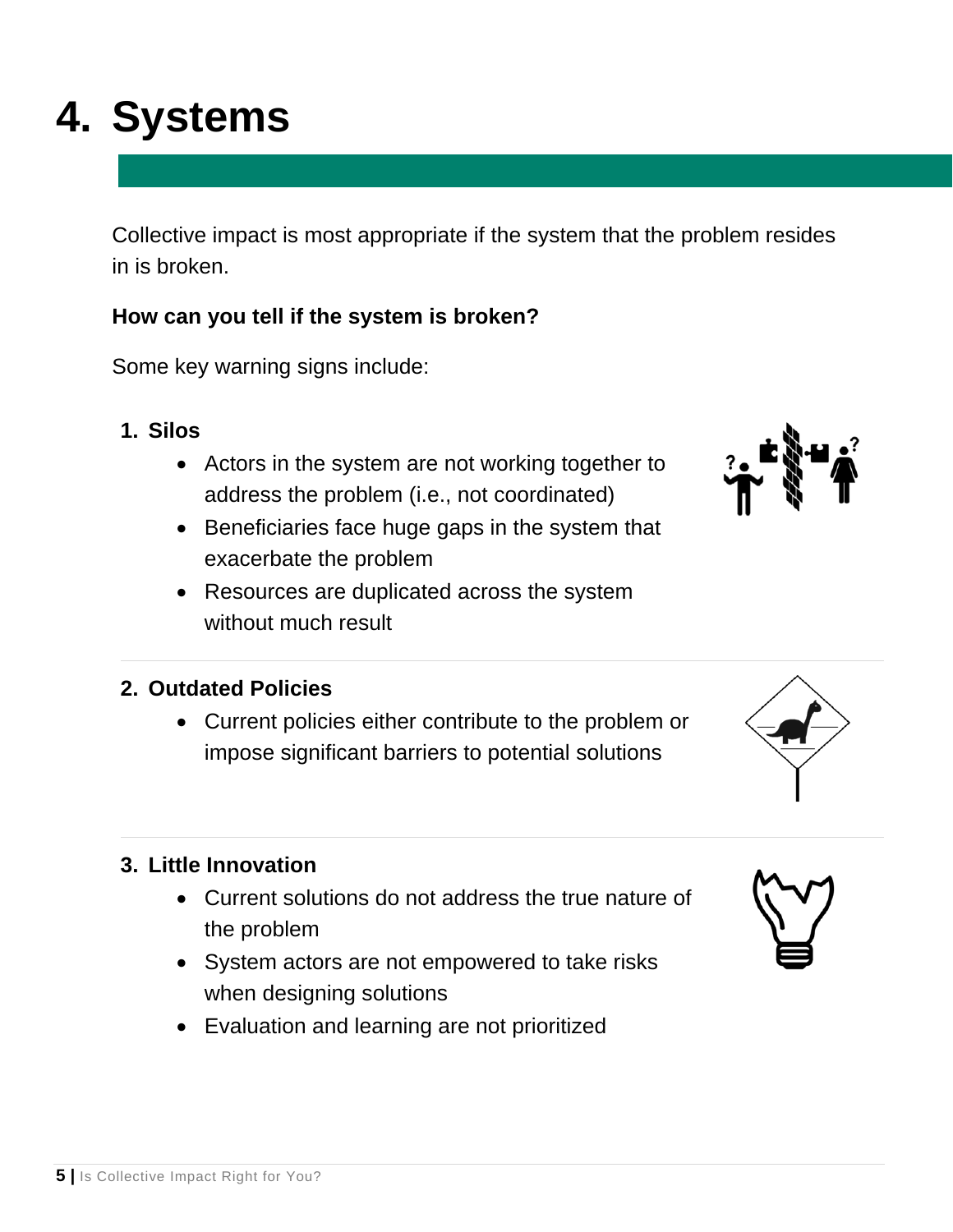# **4. Systems**

Collective impact is most appropriate if the system that the problem resides in is broken.

### **How can you tell if the system is broken?**

Some key warning signs include:

- **1. Silos** 
	- Actors in the system are not working together to address the problem (i.e., not coordinated)
	- Beneficiaries face huge gaps in the system that exacerbate the problem
	- Resources are duplicated across the system without much result

### **2. Outdated Policies**

 Current policies either contribute to the problem or impose significant barriers to potential solutions

### **3. Little Innovation**

- Current solutions do not address the true nature of the problem
- System actors are not empowered to take risks when designing solutions
- Evaluation and learning are not prioritized



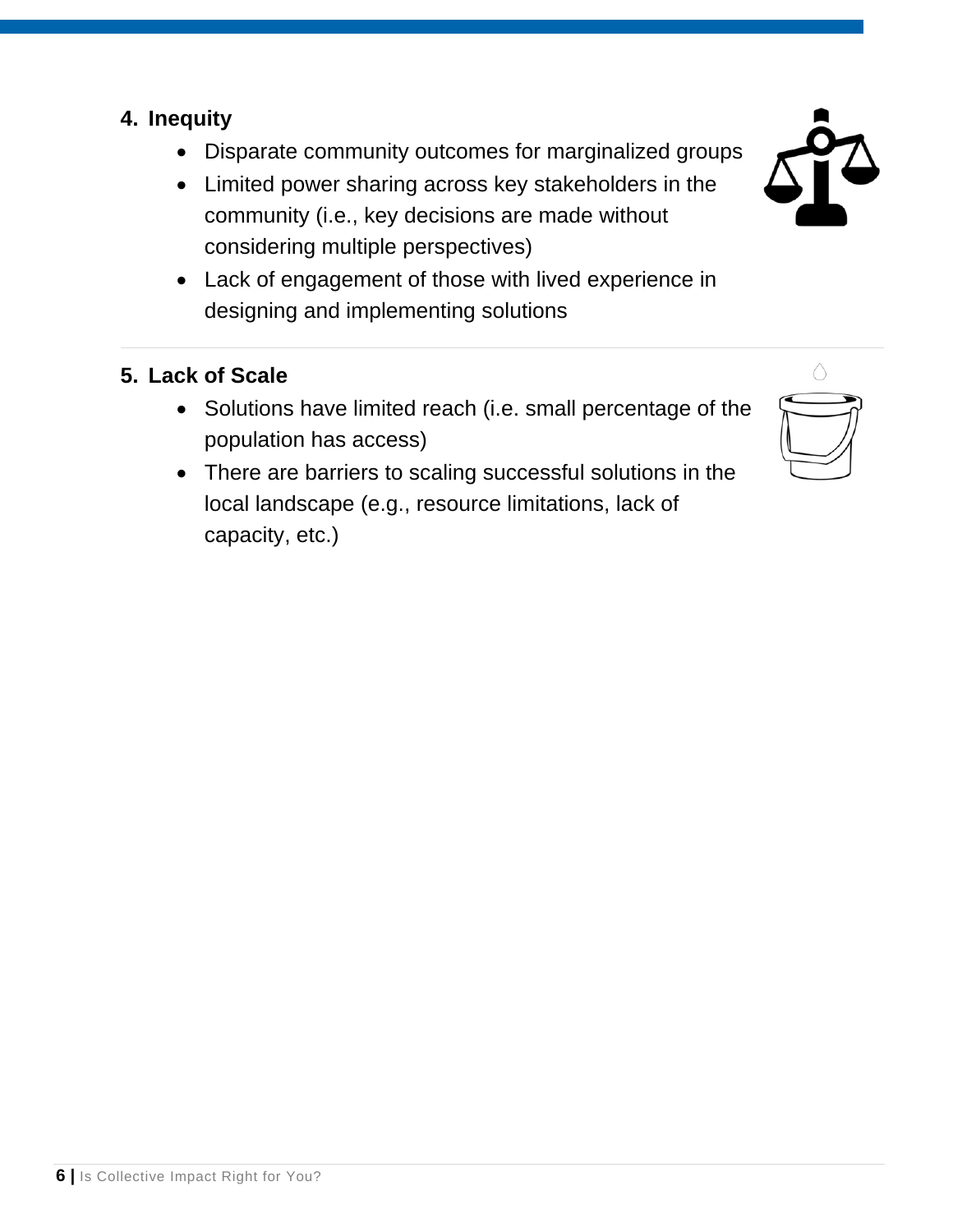### **4. Inequity**

- Disparate community outcomes for marginalized groups
- Limited power sharing across key stakeholders in the community (i.e., key decisions are made without considering multiple perspectives)
- Lack of engagement of those with lived experience in designing and implementing solutions

### **5. Lack of Scale**

- Solutions have limited reach (i.e. small percentage of the population has access)
- There are barriers to scaling successful solutions in the local landscape (e.g., resource limitations, lack of capacity, etc.)



**6 |** Is Collective Impact Right for You?



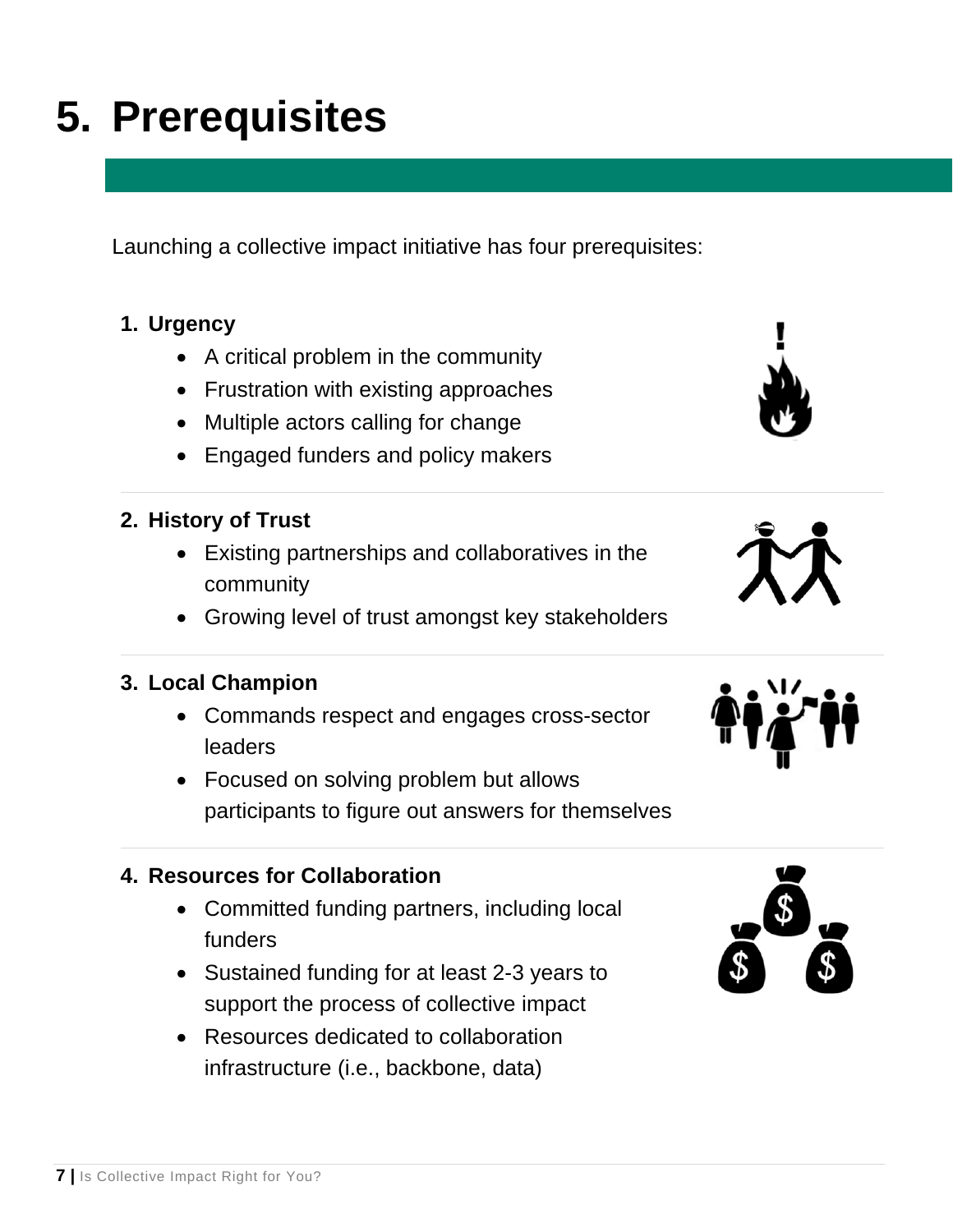# **5. Prerequisites**

Launching a collective impact initiative has four prerequisites:

### **1. Urgency**

- A critical problem in the community
- Frustration with existing approaches
- Multiple actors calling for change
- Engaged funders and policy makers

### **2. History of Trust**

- Existing partnerships and collaboratives in the community
- Growing level of trust amongst key stakeholders

#### **3. Local Champion**

- Commands respect and engages cross-sector leaders
- Focused on solving problem but allows participants to figure out answers for themselves

#### **4. Resources for Collaboration**

- Committed funding partners, including local funders
- Sustained funding for at least 2-3 years to support the process of collective impact
- Resources dedicated to collaboration infrastructure (i.e., backbone, data)





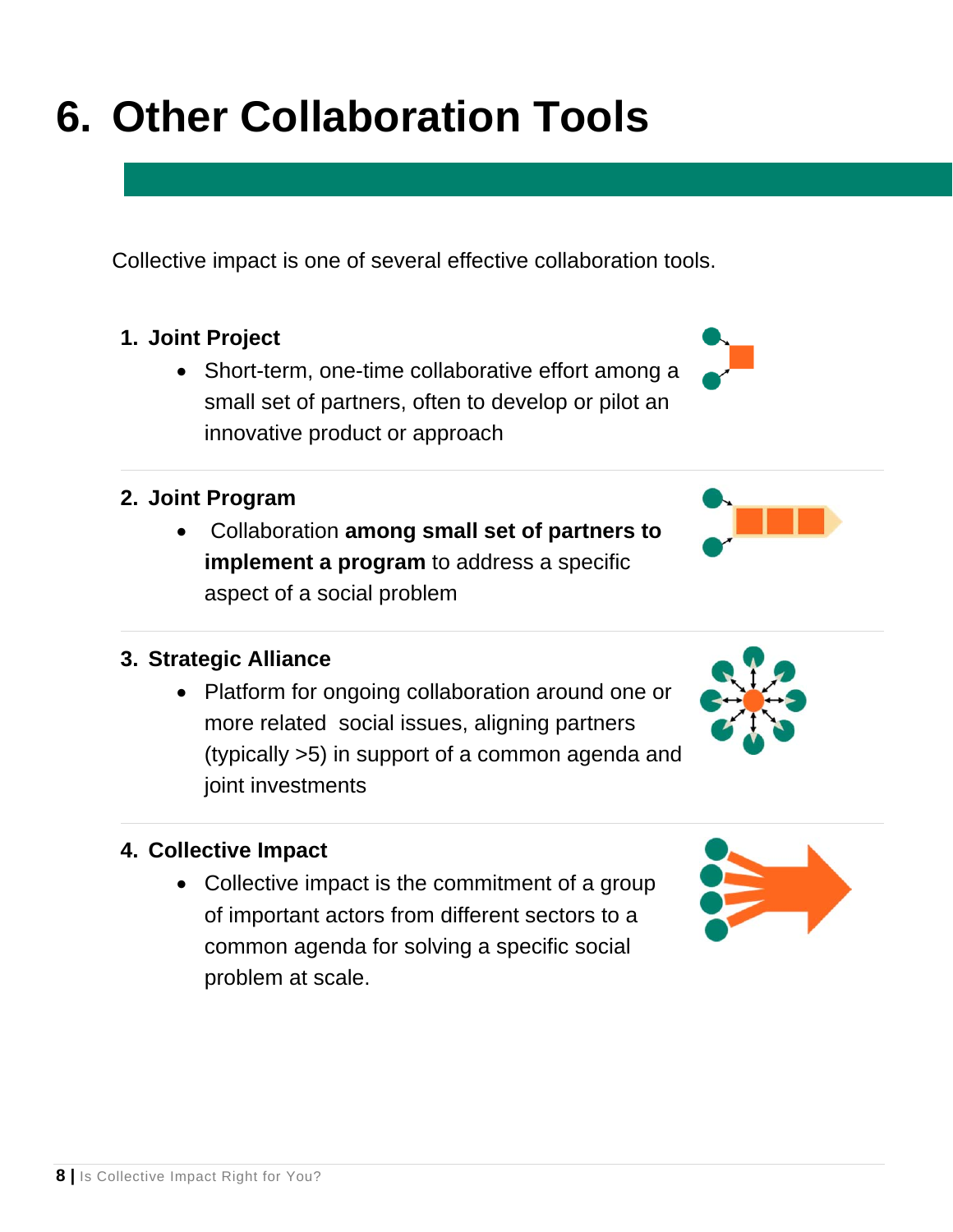## **6. Other Collaboration Tools**

Collective impact is one of several effective collaboration tools.

### **1. Joint Project**

• Short-term, one-time collaborative effort among a small set of partners, often to develop or pilot an innovative product or approach

### **2. Joint Program**

 Collaboration **among small set of partners to implement a program** to address a specific aspect of a social problem

### **3. Strategic Alliance**

• Platform for ongoing collaboration around one or more related social issues, aligning partners (typically >5) in support of a common agenda and joint investments

### **4. Collective Impact**

• Collective impact is the commitment of a group of important actors from different sectors to a common agenda for solving a specific social problem at scale.







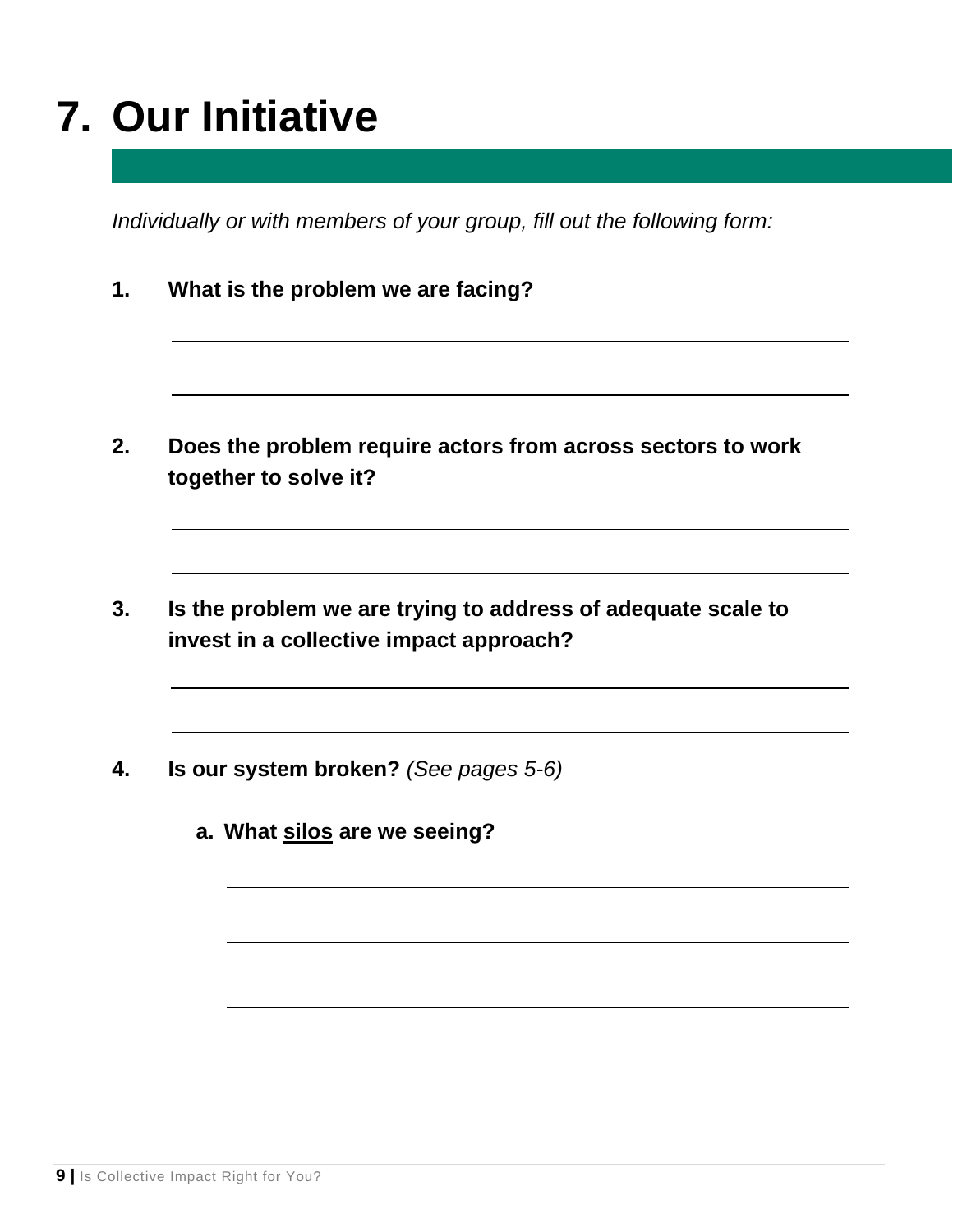### **7. Our Initiative**

*Individually or with members of your group, fill out the following form:* 

**1. What is the problem we are facing?** 

- **2. Does the problem require actors from across sectors to work together to solve it?**
- **3. Is the problem we are trying to address of adequate scale to invest in a collective impact approach?**
- **4. Is our system broken?** *(See pages 5-6)*
	- **a. What silos are we seeing?**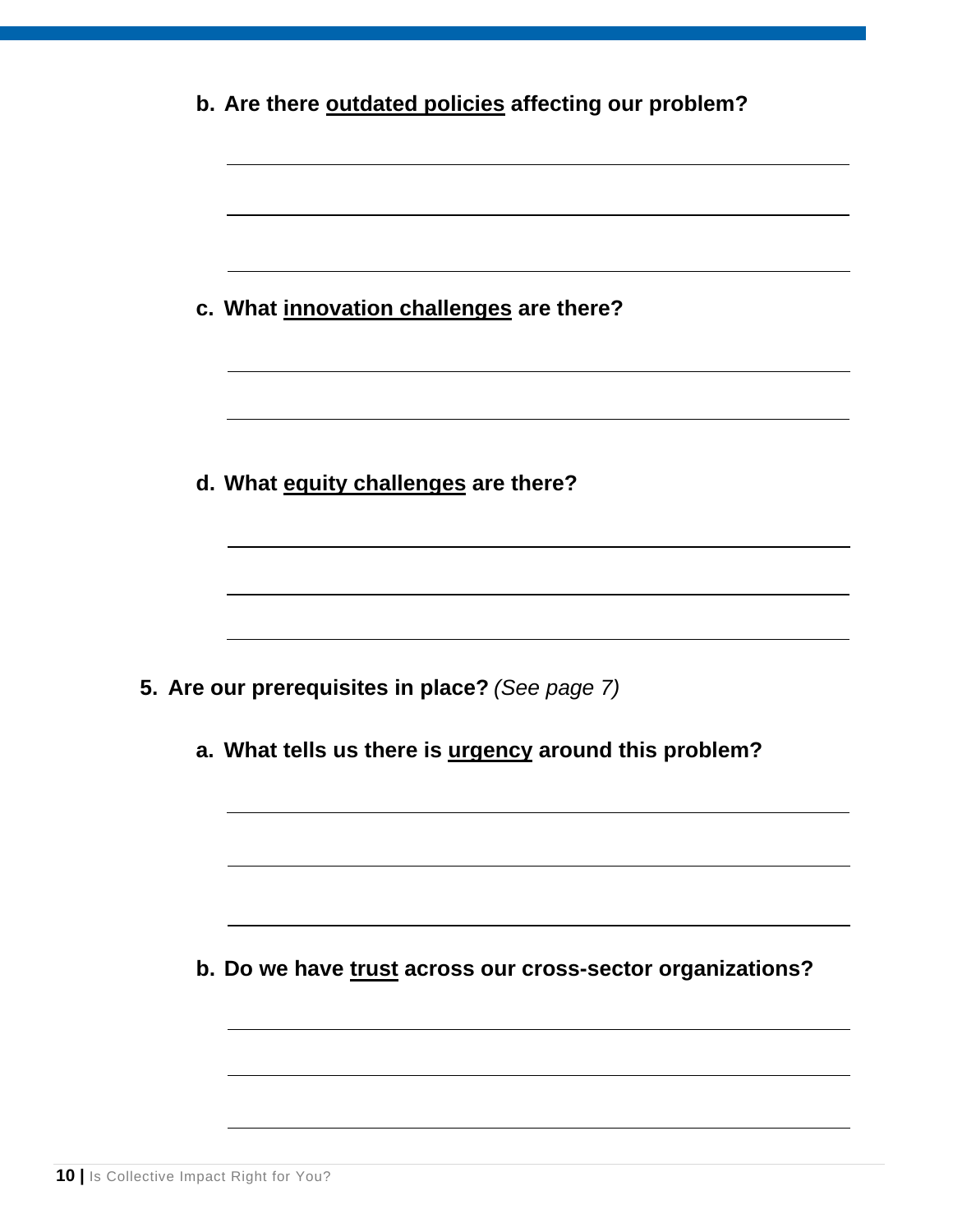| b. Are there outdated policies affecting our problem?                                                     |
|-----------------------------------------------------------------------------------------------------------|
| c. What innovation challenges are there?                                                                  |
| d. What equity challenges are there?                                                                      |
| 5. Are our prerequisites in place? (See page 7)<br>a. What tells us there is urgency around this problem? |
| b. Do we have trust across our cross-sector organizations?                                                |
|                                                                                                           |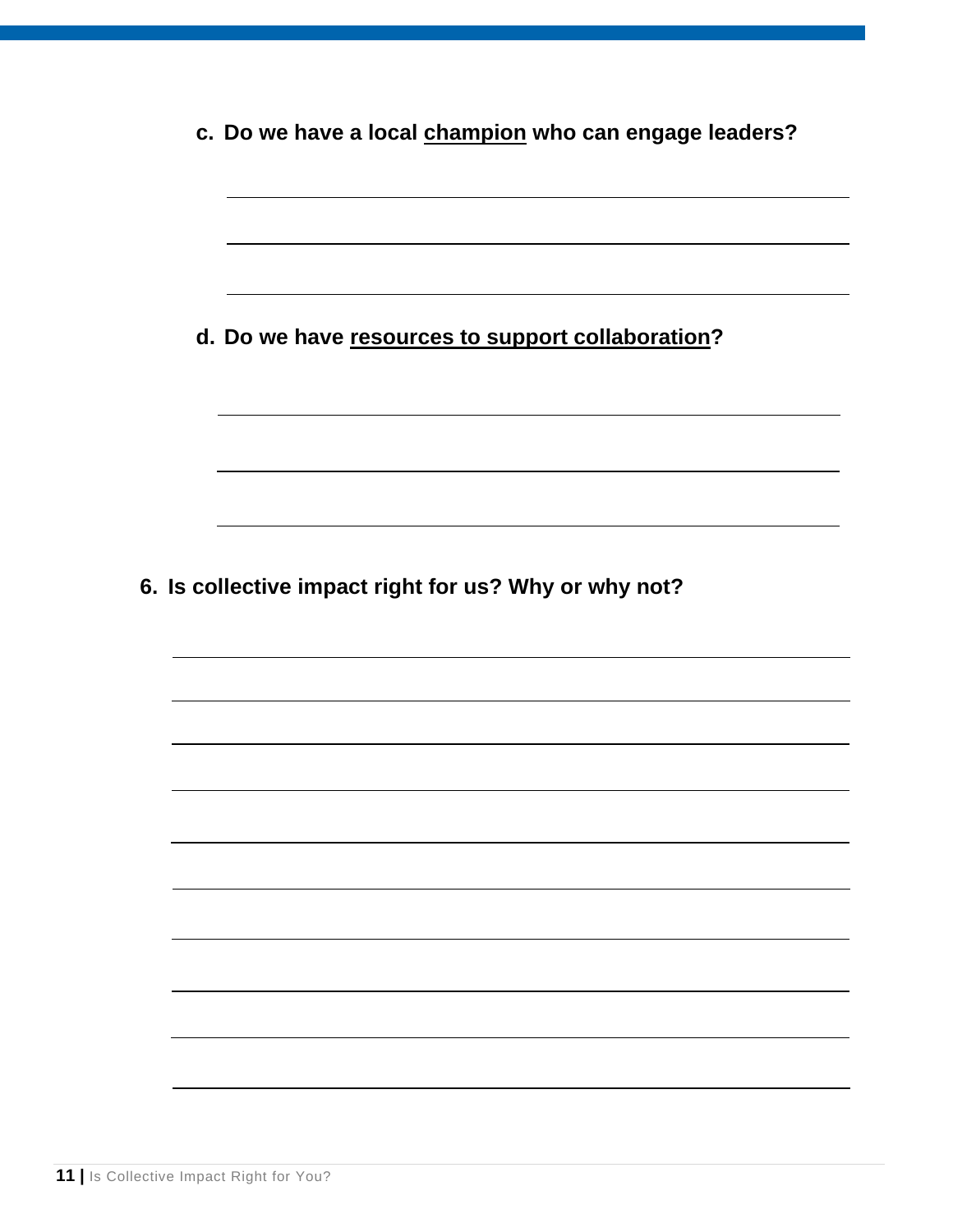| c. Do we have a local champion who can engage leaders? |  |  |  |
|--------------------------------------------------------|--|--|--|
|                                                        |  |  |  |
|                                                        |  |  |  |
|                                                        |  |  |  |
| d. Do we have resources to support collaboration?      |  |  |  |
|                                                        |  |  |  |
|                                                        |  |  |  |
|                                                        |  |  |  |
|                                                        |  |  |  |
|                                                        |  |  |  |
|                                                        |  |  |  |
|                                                        |  |  |  |
| 6. Is collective impact right for us? Why or why not?  |  |  |  |
|                                                        |  |  |  |
|                                                        |  |  |  |
|                                                        |  |  |  |
|                                                        |  |  |  |
|                                                        |  |  |  |
|                                                        |  |  |  |
|                                                        |  |  |  |
|                                                        |  |  |  |
|                                                        |  |  |  |
|                                                        |  |  |  |
|                                                        |  |  |  |
|                                                        |  |  |  |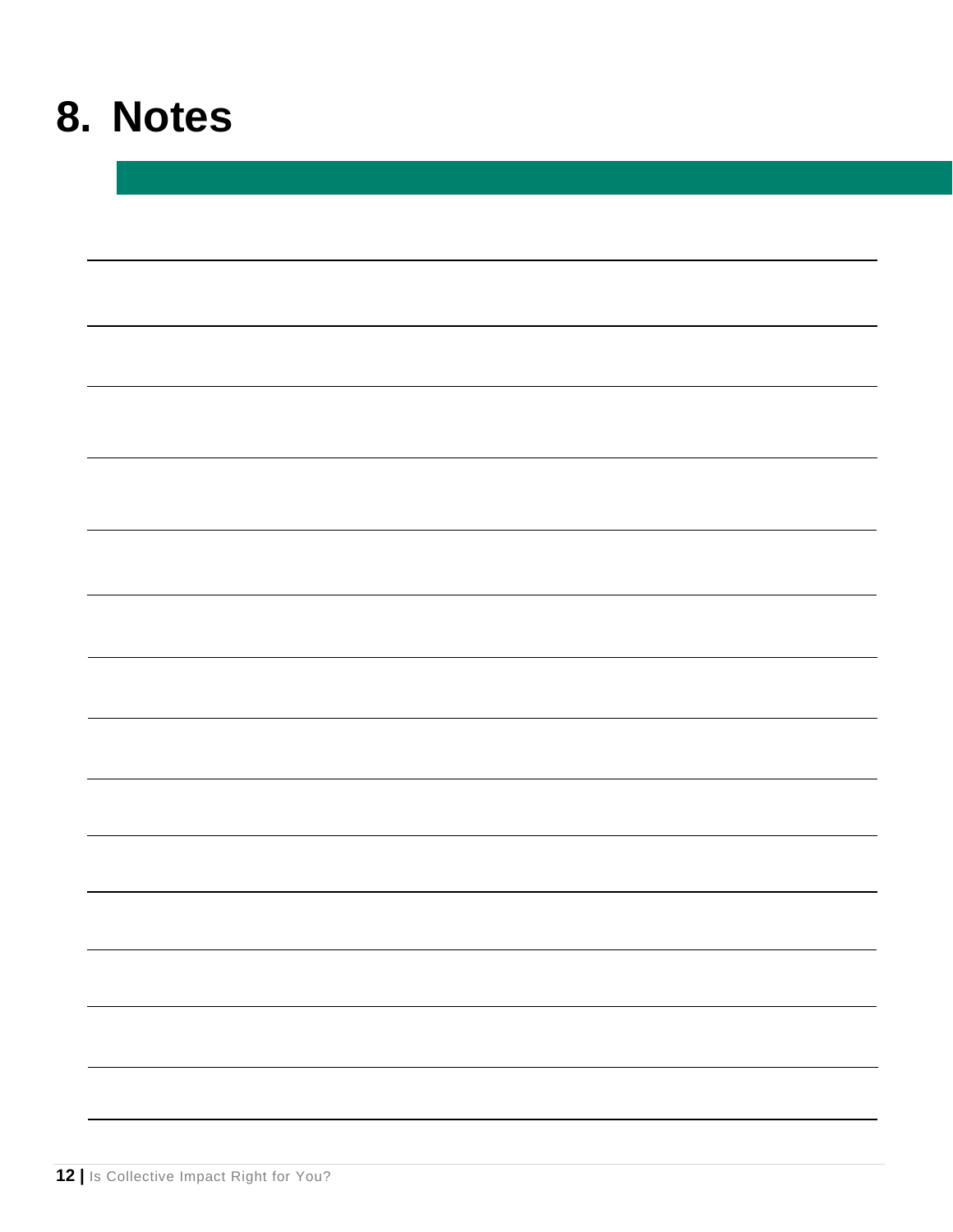### **8. Notes**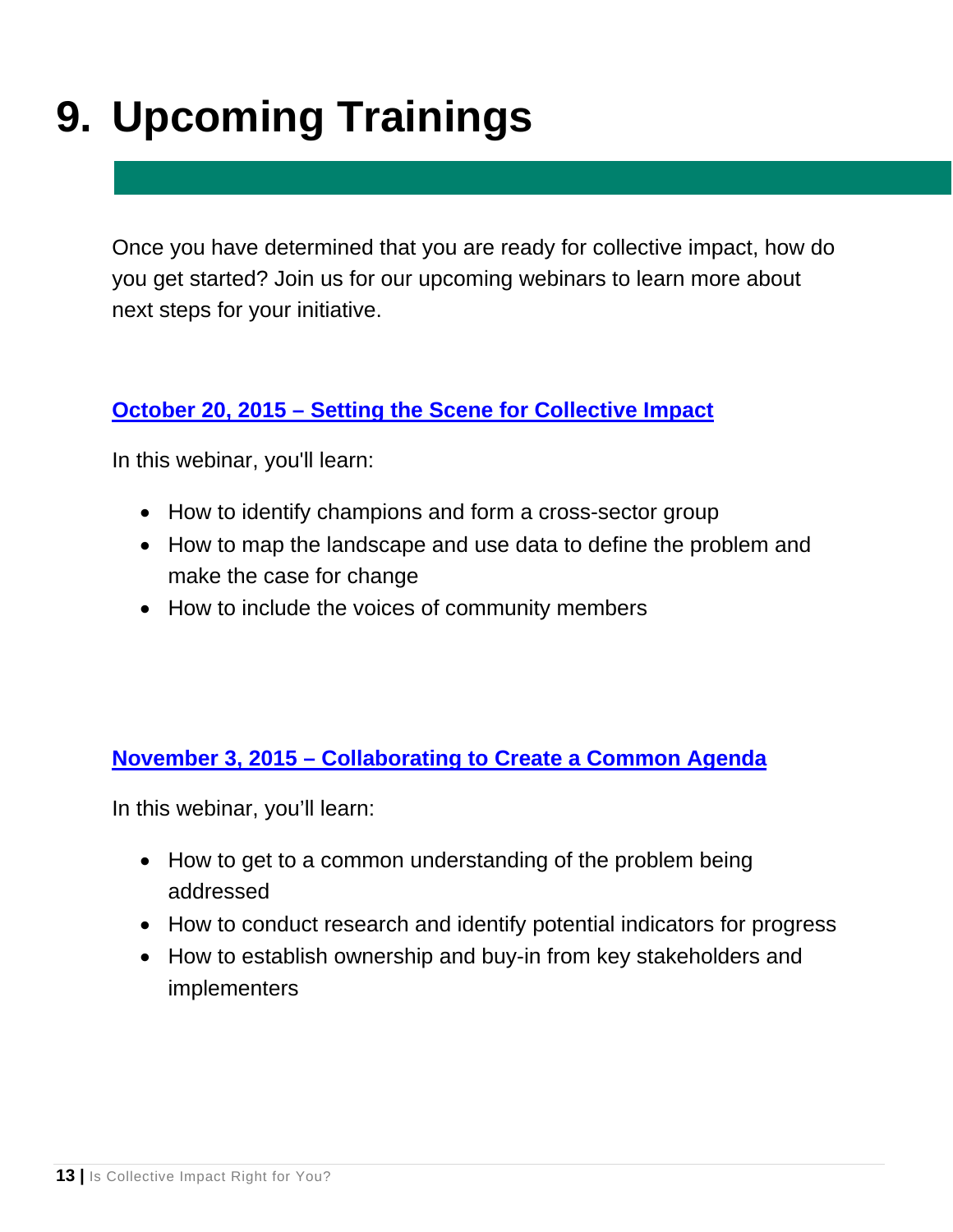### **9. Upcoming Trainings**

Once you have determined that you are ready for collective impact, how do you get started? Join us for our upcoming webinars to learn more about next steps for your initiative.

### **[October 20, 2015 – Setting the Scene for Collective Impact](http://online.krm.com/iebms/coe/coe_p2_details.aspx?oc=10&cc=00857603&eventid=22748&m=cif)**

In this webinar, you'll learn:

- How to identify champions and form a cross-sector group
- How to map the landscape and use data to define the problem and make the case for change
- How to include the voices of community members

### **[November 3, 2015 – Collaborating to Create a Common Agenda](http://online.krm.com/iebms/coe/coe_p2_details.aspx?oc=10&cc=00857603&eventid=22749&m=cif)**

In this webinar, you'll learn:

- How to get to a common understanding of the problem being addressed
- How to conduct research and identify potential indicators for progress
- How to establish ownership and buy-in from key stakeholders and implementers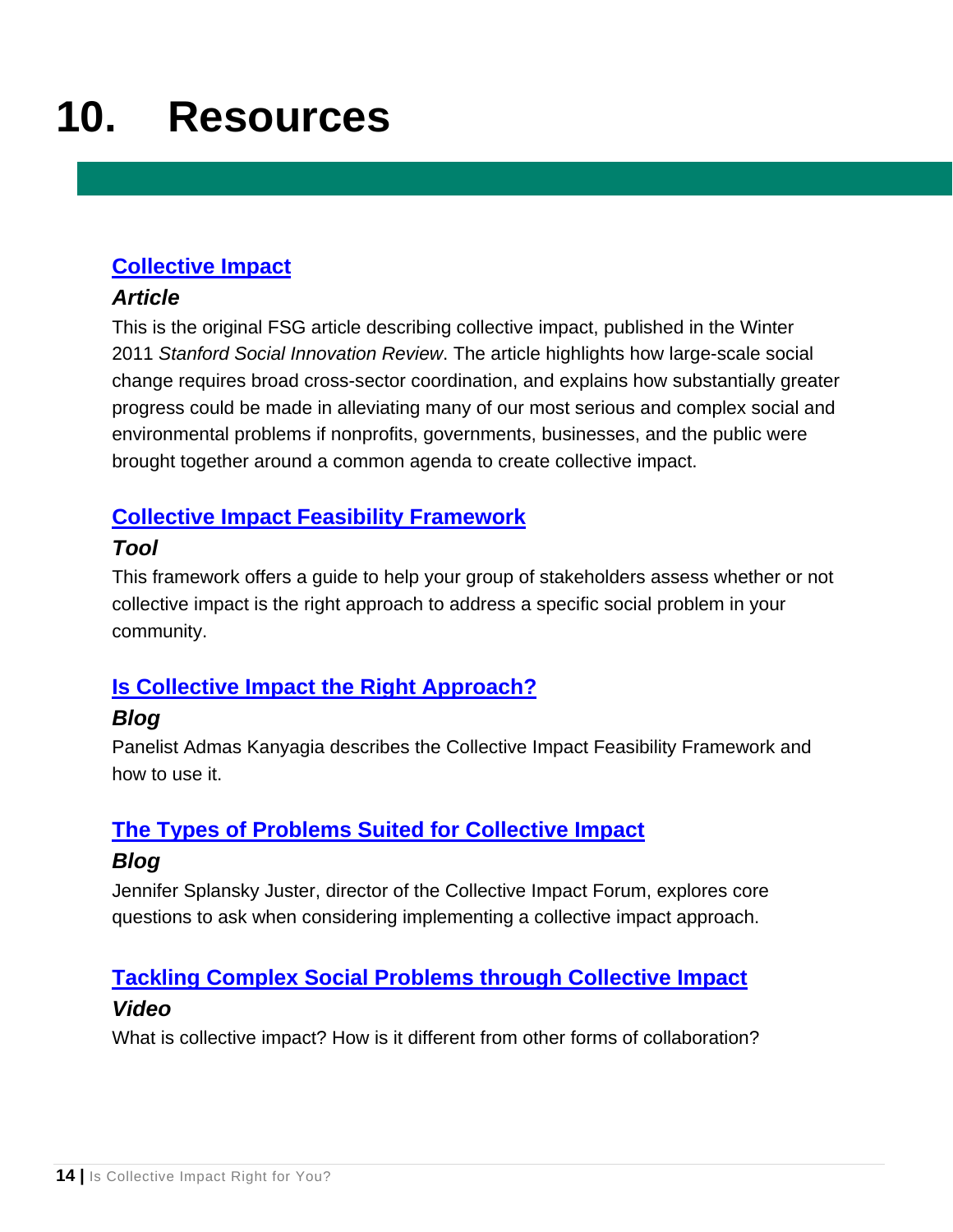### **10. Resources**

### **[Collective Impact](http://www.collectiveimpactforum.org/resources/collective-impact-article)**

#### *Article*

This is the original FSG article describing collective impact, published in the Winter 2011 *Stanford Social Innovation Review*. The article highlights how large-scale social change requires broad cross-sector coordination, and explains how substantially greater progress could be made in alleviating many of our most serious and complex social and environmental problems if nonprofits, governments, businesses, and the public were brought together around a common agenda to create collective impact.

#### **[Collective Impact Feasibility Framework](http://collectiveimpactforum.org/resources/collective-impact-feasibility-framework)**

#### *Tool*

This framework offers a guide to help your group of stakeholders assess whether or not collective impact is the right approach to address a specific social problem in your community.

### **[Is Collective Impact the Right Approach?](http://collectiveimpactforum.org/blogs/1051/collective-impact-right-approach)**

### *Blog*

Panelist Admas Kanyagia describes the Collective Impact Feasibility Framework and how to use it.

### **[The Types of Problems Suited for Collective Impact](http://collectiveimpactforum.org/blogs/700/types-problems-suited-collective-impact)**

### *Blog*

Jennifer Splansky Juster, director of the Collective Impact Forum, explores core questions to ask when considering implementing a collective impact approach.

### **[Tackling Complex Social Problems through Collective Impact](http://www.collectiveimpactforum.org/resources/tackling-complex-social-problems-through-collective-impact)**

#### *Video*

What is collective impact? How is it different from other forms of collaboration?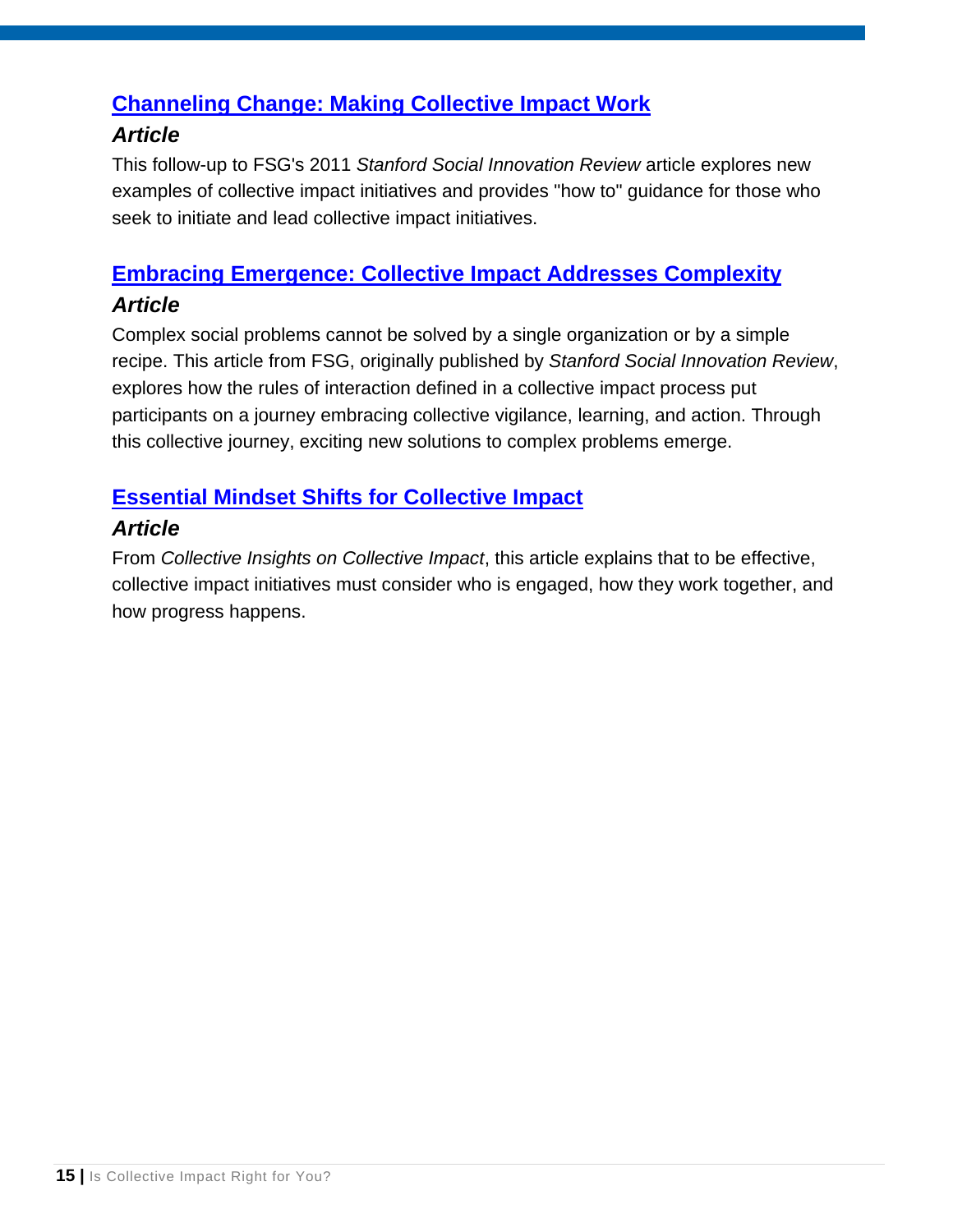### **[Channeling Change: Making Collective Impact Work](http://www.collectiveimpactforum.org/resources/channeling-change-making-collective-impact-work-article)**

#### *Article*

This follow-up to FSG's 2011 *Stanford Social Innovation Review* article explores new examples of collective impact initiatives and provides "how to" guidance for those who seek to initiate and lead collective impact initiatives.

### **[Embracing Emergence: Collective Impact Addresses Complexity](http://www.collectiveimpactforum.org/resources/embracing-emergence-collective-impact-addresses-complexity)**

#### *Article*

Complex social problems cannot be solved by a single organization or by a simple recipe. This article from FSG, originally published by *Stanford Social Innovation Review*, explores how the rules of interaction defined in a collective impact process put participants on a journey embracing collective vigilance, learning, and action. Through this collective journey, exciting new solutions to complex problems emerge.

### **[Essential Mindset Shifts for Collective Impact](http://collectiveimpactforum.org/resources/essential-mindset-shifts-collective-impact)**

### *Article*

From *Collective Insights on Collective Impact*, this article explains that to be effective, collective impact initiatives must consider who is engaged, how they work together, and how progress happens.